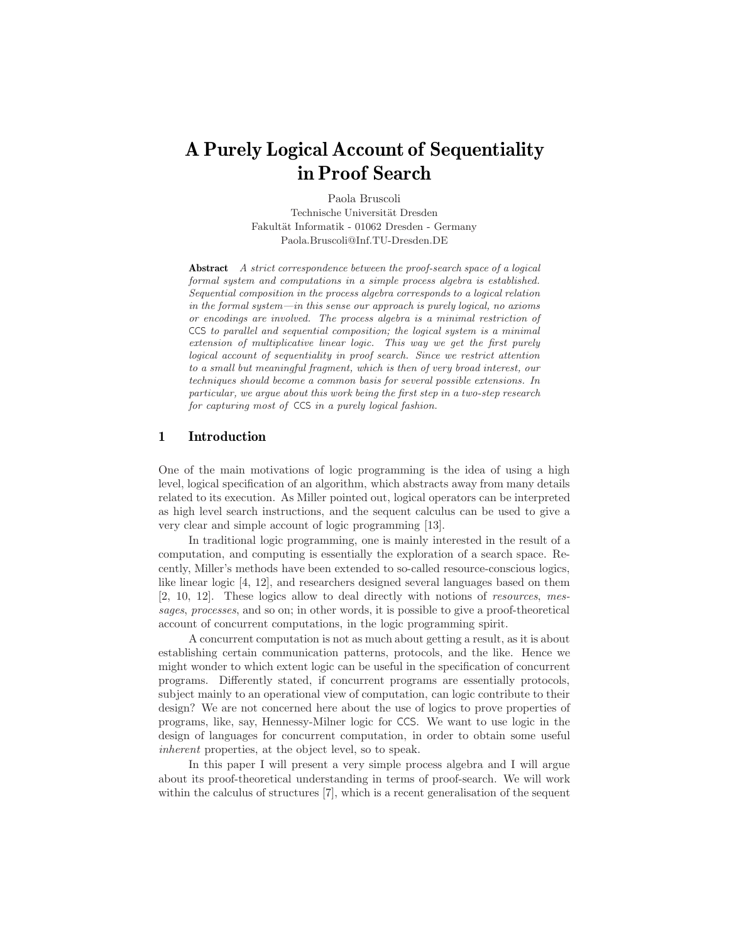# **A Purely Logical Account of Sequentiality in Proof Search**

Paola Bruscoli Technische Universität Dresden Fakultät Informatik - 01062 Dresden - Germany Paola.Bruscoli@Inf.TU-Dresden.DE

**Abstract** A strict correspondence between the proof-search space of a logical formal system and computations in a simple process algebra is established. Sequential composition in the process algebra corresponds to a logical relation in the formal system—in this sense our approach is purely logical, no axioms or encodings are involved. The process algebra is a minimal restriction of CCS to parallel and sequential composition; the logical system is a minimal extension of multiplicative linear logic. This way we get the first purely logical account of sequentiality in proof search. Since we restrict attention to a small but meaningful fragment, which is then of very broad interest, our techniques should become a common basis for several possible extensions. In particular, we argue about this work being the first step in a two-step research for capturing most of CCS in a purely logical fashion.

## **1 Introduction**

One of the main motivations of logic programming is the idea of using a high level, logical specification of an algorithm, which abstracts away from many details related to its execution. As Miller pointed out, logical operators can be interpreted as high level search instructions, and the sequent calculus can be used to give a very clear and simple account of logic programming [13].

In traditional logic programming, one is mainly interested in the result of a computation, and computing is essentially the exploration of a search space. Recently, Miller's methods have been extended to so-called resource-conscious logics, like linear logic [4, 12], and researchers designed several languages based on them [2, 10, 12]. These logics allow to deal directly with notions of resources, messages, processes, and so on; in other words, it is possible to give a proof-theoretical account of concurrent computations, in the logic programming spirit.

A concurrent computation is not as much about getting a result, as it is about establishing certain communication patterns, protocols, and the like. Hence we might wonder to which extent logic can be useful in the specification of concurrent programs. Differently stated, if concurrent programs are essentially protocols, subject mainly to an operational view of computation, can logic contribute to their design? We are not concerned here about the use of logics to prove properties of programs, like, say, Hennessy-Milner logic for CCS. We want to use logic in the design of languages for concurrent computation, in order to obtain some useful inherent properties, at the object level, so to speak.

In this paper I will present a very simple process algebra and I will argue about its proof-theoretical understanding in terms of proof-search. We will work within the calculus of structures [7], which is a recent generalisation of the sequent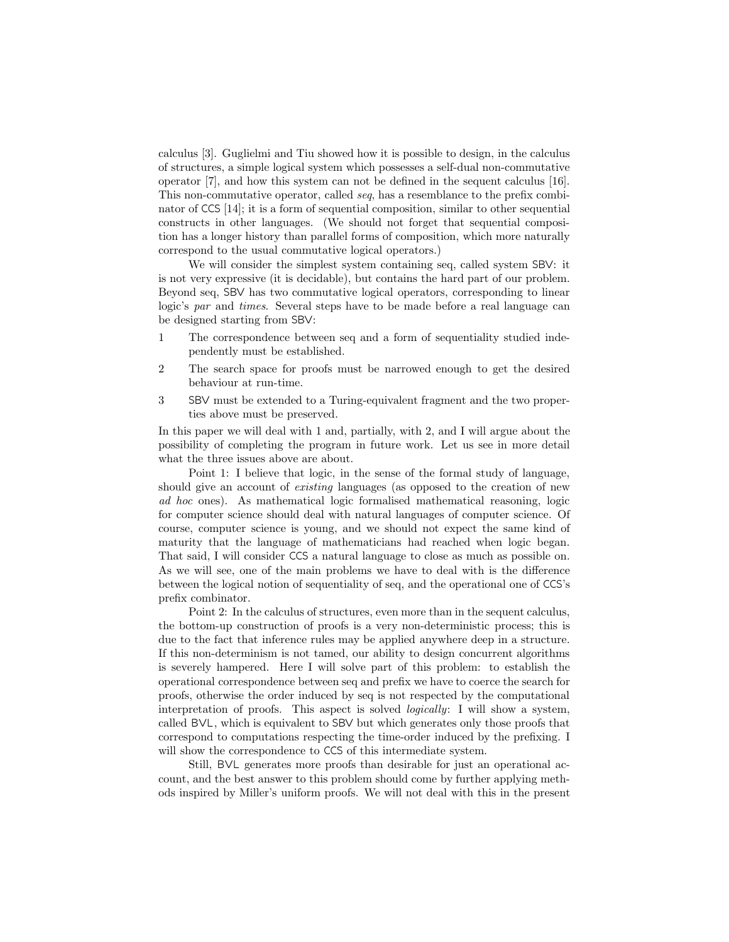calculus [3]. Guglielmi and Tiu showed how it is possible to design, in the calculus of structures, a simple logical system which possesses a self-dual non-commutative operator [7], and how this system can not be defined in the sequent calculus [16]. This non-commutative operator, called seq, has a resemblance to the prefix combinator of CCS [14]; it is a form of sequential composition, similar to other sequential constructs in other languages. (We should not forget that sequential composition has a longer history than parallel forms of composition, which more naturally correspond to the usual commutative logical operators.)

We will consider the simplest system containing seq, called system SBV: it is not very expressive (it is decidable), but contains the hard part of our problem. Beyond seq, SBV has two commutative logical operators, corresponding to linear logic's par and times. Several steps have to be made before a real language can be designed starting from SBV :

- 1 The correspondence between seq and a form of sequentiality studied independently must be established.
- 2 The search space for proofs must be narrowed enough to get the desired behaviour at run-time.
- 3 SBV must be extended to a Turing-equivalent fragment and the two properties above must be preserved.

In this paper we will deal with 1 and, partially, with 2, and I will argue about the possibility of completing the program in future work. Let us see in more detail what the three issues above are about.

Point 1: I believe that logic, in the sense of the formal study of language, should give an account of *existing* languages (as opposed to the creation of new ad hoc ones). As mathematical logic formalised mathematical reasoning, logic for computer science should deal with natural languages of computer science. Of course, computer science is young, and we should not expect the same kind of maturity that the language of mathematicians had reached when logic began. That said, I will consider CCS a natural language to close as much as possible on. As we will see, one of the main problems we have to deal with is the difference between the logical notion of sequentiality of seq, and the operational one of CCS's prefix combinator.

Point 2: In the calculus of structures, even more than in the sequent calculus, the bottom-up construction of proofs is a very non-deterministic process; this is due to the fact that inference rules may be applied anywhere deep in a structure. If this non-determinism is not tamed, our ability to design concurrent algorithms is severely hampered. Here I will solve part of this problem: to establish the operational correspondence between seq and prefix we have to coerce the search for proofs, otherwise the order induced by seq is not respected by the computational interpretation of proofs. This aspect is solved *logically*: I will show a system, called BVL, which is equivalent to SBV but which generates only those proofs that correspond to computations respecting the time-order induced by the prefixing. I will show the correspondence to CCS of this intermediate system.

Still, BVL generates more proofs than desirable for just an operational account, and the best answer to this problem should come by further applying methods inspired by Miller's uniform proofs. We will not deal with this in the present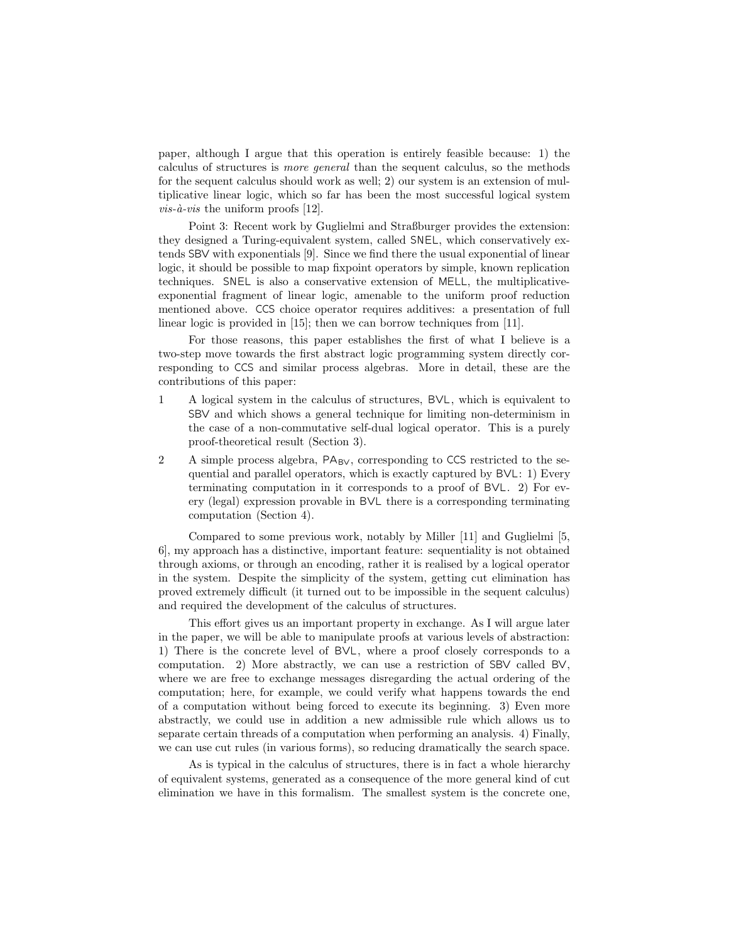paper, although I argue that this operation is entirely feasible because: 1) the calculus of structures is more general than the sequent calculus, so the methods for the sequent calculus should work as well; 2) our system is an extension of multiplicative linear logic, which so far has been the most successful logical system  $vis-\hat{a}-vis$  the uniform proofs [12].

Point 3: Recent work by Guglielmi and Straßburger provides the extension: they designed a Turing-equivalent system, called SNEL, which conservatively extends SBV with exponentials [9]. Since we find there the usual exponential of linear logic, it should be possible to map fixpoint operators by simple, known replication techniques. SNEL is also a conservative extension of MELL, the multiplicativeexponential fragment of linear logic, amenable to the uniform proof reduction mentioned above. CCS choice operator requires additives: a presentation of full linear logic is provided in [15]; then we can borrow techniques from [11].

For those reasons, this paper establishes the first of what I believe is a two-step move towards the first abstract logic programming system directly corresponding to CCS and similar process algebras. More in detail, these are the contributions of this paper:

- 1 Alogical system in the calculus of structures, BV L, which is equivalent to SBV and which shows a general technique for limiting non-determinism in the case of a non-commutative self-dual logical operator. This is a purely proof-theoretical result (Section 3).
- 2 A simple process algebra,  $PA_{BV}$ , corresponding to CCS restricted to the sequential and parallel operators, which is exactly captured by  $BVL: 1$ ) Every terminating computation in it corresponds to a proof of  $BVL$ . 2) For every (legal) expression provable in BVL there is a corresponding terminating computation (Section 4).

Compared to some previous work, notably by Miller [11] and Guglielmi [5, 6], my approach has a distinctive, important feature: sequentiality is not obtained through axioms, or through an encoding, rather it is realised by a logical operator in the system. Despite the simplicity of the system, getting cut elimination has proved extremely difficult (it turned out to be impossible in the sequent calculus) and required the development of the calculus of structures.

This effort gives us an important property in exchange. As I will argue later in the paper, we will be able to manipulate proofs at various levels of abstraction: 1) There is the concrete level of BVL, where a proof closely corresponds to a computation. 2) More abstractly, we can use a restriction of SBV called BV , where we are free to exchange messages disregarding the actual ordering of the computation; here, for example, we could verify what happens towards the end of a computation without being forced to execute its beginning. 3) Even more abstractly, we could use in addition a new admissible rule which allows us to separate certain threads of a computation when performing an analysis. 4) Finally, we can use cut rules (in various forms), so reducing dramatically the search space.

As is typical in the calculus of structures, there is in fact a whole hierarchy of equivalent systems, generated as a consequence of the more general kind of cut elimination we have in this formalism. The smallest system is the concrete one,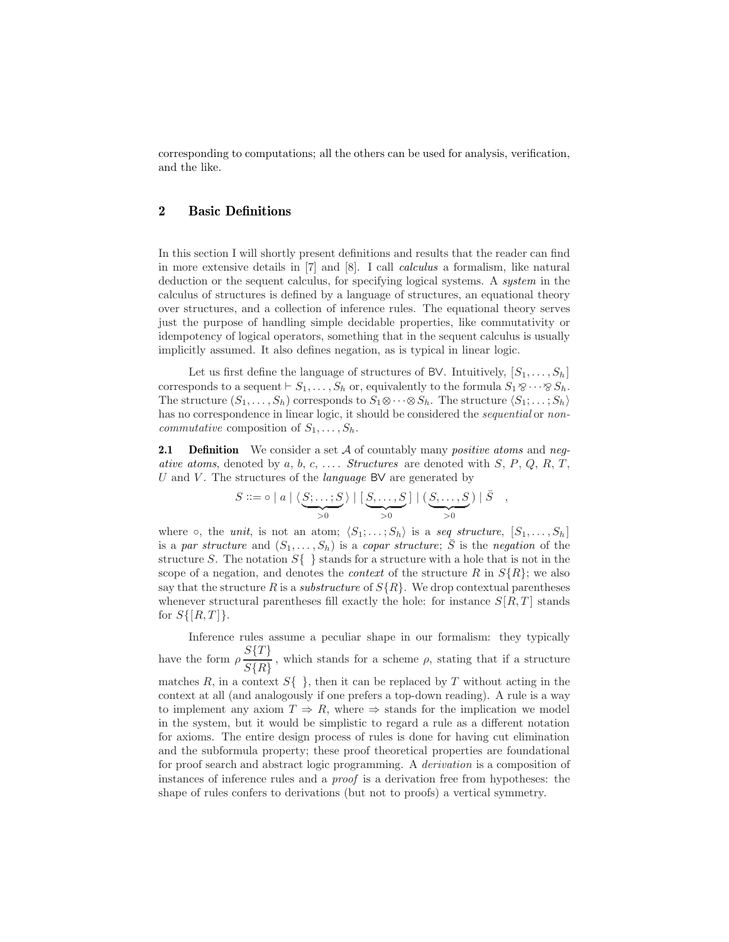corresponding to computations; all the others can be used for analysis, verification, and the like.

# **2 Basic Definitions**

In this section I will shortly present definitions and results that the reader can find in more extensive details in [7] and [8]. I call calculus a formalism, like natural deduction or the sequent calculus, for specifying logical systems. A system in the calculus of structures is defined by a language of structures, an equational theory over structures, and a collection of inference rules. The equational theory serves just the purpose of handling simple decidable properties, like commutativity or idempotency of logical operators, something that in the sequent calculus is usually implicitly assumed. It also defines negation, as is typical in linear logic.

Let us first define the language of structures of BV. Intuitively,  $[S_1, \ldots, S_h]$ corresponds to a sequent  $\vdash S_1,\ldots,S_h$  or, equivalently to the formula  $S_1 \otimes \cdots \otimes S_h$ . The structure  $(S_1, \ldots, S_h)$  corresponds to  $S_1 \otimes \cdots \otimes S_h$ . The structure  $\langle S_1; \ldots; S_h \rangle$ has no correspondence in linear logic, it should be considered the *sequential* or non*commutative* composition of  $S_1, \ldots, S_h$ .

**2.1 Definition** We consider a set A of countably many *positive atoms* and *neg*ative atoms, denoted by a, b, c, .... Structures are denoted with  $S$ ,  $P$ ,  $Q$ ,  $R$ ,  $T$ , U and V. The structures of the *language* BV are generated by

$$
S ::= \circ | a | \langle \underbrace{S; \dots; S}_{>0} \rangle | [\underbrace{S, \dots, S}_{>0}] | (\underbrace{S, \dots, S}_{>0}) | \overline{S} ,
$$

where  $\circ$ , the *unit*, is not an atom;  $\langle S_1; \ldots; S_h \rangle$  is a seq structure,  $[S_1, \ldots, S_h]$ is a par structure and  $(S_1,\ldots,S_h)$  is a copar structure;  $\overline{S}$  is the negation of the structure S. The notation  $S\{\}\}$  stands for a structure with a hole that is not in the scope of a negation, and denotes the *context* of the structure R in  $S\{R\}$ ; we also say that the structure R is a *substructure* of  $S\{R\}$ . We drop contextual parentheses whenever structural parentheses fill exactly the hole: for instance  $S[R,T]$  stands for  $S\{[R,T]\}.$ 

Inference rules assume a peculiar shape in our formalism: they typically have the form  $\rho \frac{S\{T\}}{S\{R\}}$ , which stands for a scheme  $\rho$ , stating that if a structure matches R, in a context  $S\{\}\,$ , then it can be replaced by T without acting in the context at all (and analogously if one prefers a top-down reading). A rule is a way to implement any axiom  $T \Rightarrow R$ , where  $\Rightarrow$  stands for the implication we model in the system, but it would be simplistic to regard a rule as a different notation for axioms. The entire design process of rules is done for having cut elimination and the subformula property; these proof theoretical properties are foundational for proof search and abstract logic programming. A derivation is a composition of instances of inference rules and a proof is a derivation free from hypotheses: the shape of rules confers to derivations (but not to proofs) a vertical symmetry.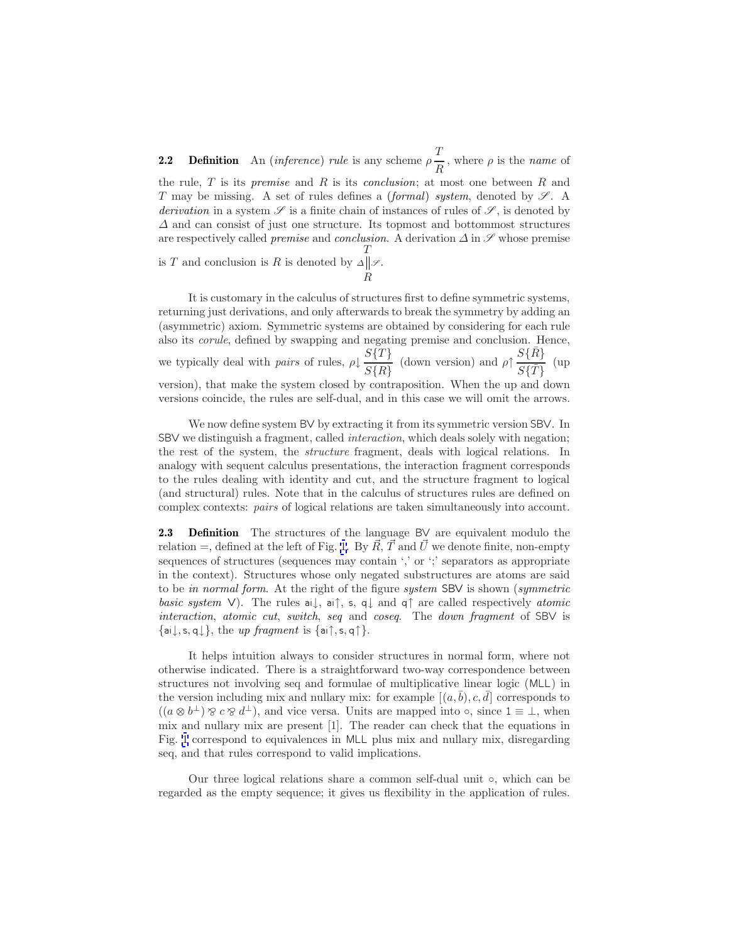**2.2 Definition** An (*inference*) rule is any scheme  $\rho \frac{T}{R}$ , where  $\rho$  is the *name* of the rule,  $T$  is its *premise* and  $R$  is its *conclusion*; at most one between  $R$  and T may be missing. A set of rules defines a *(formal) system*, denoted by  $\mathscr{S}$ . A derivation in a system  $\mathscr S$  is a finite chain of instances of rules of  $\mathscr S$ , is denoted by  $\Delta$  and can consist of just one structure. Its topmost and bottommost structures are respectively called *premise* and *conclusion*. A derivation  $\Delta$  in  $\mathscr S$  whose premise T

is  $T$  and conclusion is  $R$  is denoted by R  $\Delta$   $\parallel$   $\mathscr{S}$  .

It is customary in the calculus of structures first to define symmetric systems, returning just derivations, and only afterwards to break the symmetry by adding an (asymmetric) axiom. Symmetric systems are obtained by considering for each rule also its corule, defined by swapping and negating premise and conclusion. Hence, we typically deal with *pairs* of rules,  $\rho \downarrow \frac{S\{T\}}{S\{R\}}$  (down version) and  $\rho \uparrow \frac{S\{\bar{R}\}}{S\{\bar{T}\}}$  (up version), that make the system closed by contraposition. When the up and down versions coincide, the rules are self-dual, and in this case we will omit the arrows.

We now define system BV by extracting it from its symmetric version SBV . In SBV we distinguish a fragment, called interaction, which deals solely with negation; the rest of the system, the structure fragment, deals with logical relations. In analogy with sequent calculus presentations, the interaction fragment corresponds to the rules dealing with identity and cut, and the structure fragment to logical (and structural) rules. Note that in the calculus of structures rules are defined on complex contexts: pairs of logical relations are taken simultaneously into account.

**2.3 Definition** The structures of the language BV are equivalent modulo the relation =, defined at the left of Fig. [1.](#page-5-0) By  $\vec{R}$ ,  $\vec{T}$  and  $\vec{U}$  we denote finite, non-empty sequences of structures (sequences may contain ',' or ';' separators as appropriate in the context). Structures whose only negated substructures are atoms are said to be in normal form. At the right of the figure system SBV is shown (symmetric basic system V). The rules ai $\downarrow$ , ai $\uparrow$ , s, q $\downarrow$  and q $\uparrow$  are called respectively atomic interaction, atomic cut, switch, seq and coseq. The down fragment of SBV is  $\{\mathsf{ai}\,\downarrow,\mathsf{s},\mathsf{q}\,\downarrow\}$ , the up fragment is  $\{\mathsf{ai}\,\uparrow,\mathsf{s},\mathsf{q}\,\uparrow\}$ .

It helps intuition always to consider structures in normal form, where not otherwise indicated. There is a straightforward two-way correspondence between structures not involving seq and formulae of multiplicative linear logic (MLL) in the version including mix and nullary mix: for example  $[(a, \bar{b}), c, \bar{d}]$  corresponds to  $((a \otimes b^{\perp}) \otimes c \otimes d^{\perp}),$  and vice versa. Units are mapped into  $\circ$ , since  $1 \equiv \perp$ , when mix and nullary mix are present [1]. The reader can check that the equations in Fig. [1](#page-5-0) correspond to equivalences in MLL plus mix and nullary mix, disregarding seq, and that rules correspond to valid implications.

Our three logical relations share a common self-dual unit ◦, which can be regarded as the empty sequence; it gives us flexibility in the application of rules.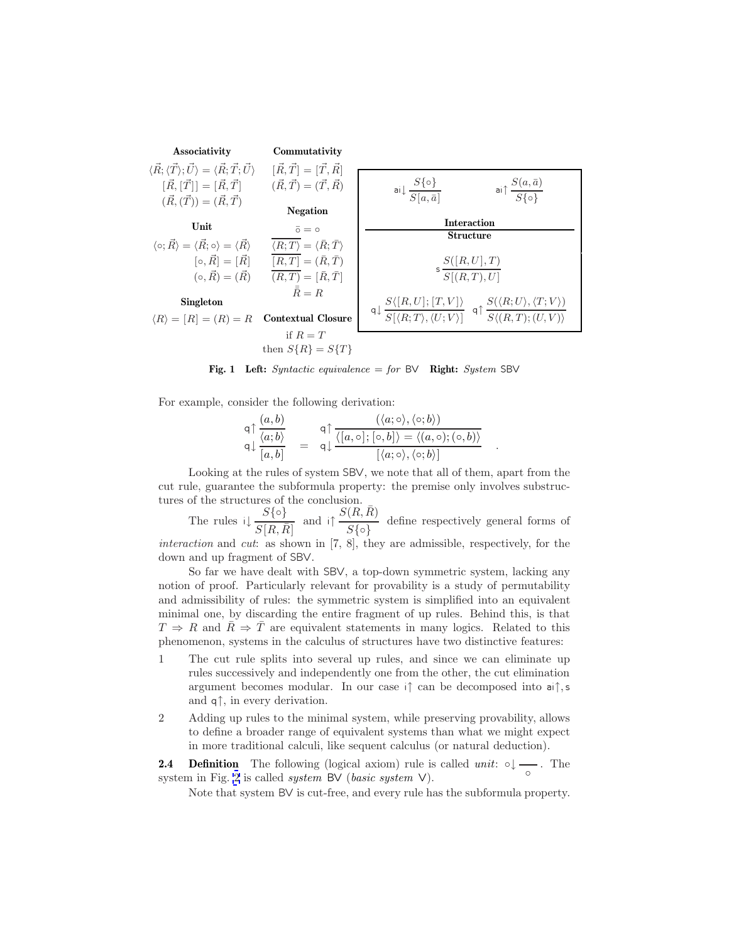<span id="page-5-0"></span>

**Fig. 1 Left:** Syntactic equivalence = for BV **Right:** System SBV

For example, consider the following derivation:

$$
\mathsf{q} \uparrow \frac{(a,b)}{\langle a;b \rangle} = \mathsf{q} \uparrow \frac{(\langle a; \circ \rangle, \langle \circ;b \rangle)}{\langle [a,b] \rangle} = \mathsf{q} \downarrow \frac{\langle [a, \circ]; [\circ,b] \rangle = \langle (a, \circ); (\circ,b) \rangle}{[\langle a; \circ \rangle, \langle \circ;b \rangle]}.
$$

Looking at the rules of system SBV , we note that all of them, apart from the cut rule, guarantee the subformula property: the premise only involves substructures of the structures of the conclusion.

The rules  $\iota \downarrow \frac{S\{\circ\}}{S[R,\bar{R}]}$  and  $\iota \uparrow \frac{S(R,\bar{R})}{S\{\circ\}}$  define respectively general forms of

interaction and cut: as shown in [7, 8], they are admissible, respectively, for the down and up fragment of SBV.

So far we have dealt with SBV , a top-down symmetric system, lacking any notion of proof. Particularly relevant for provability is a study of permutability and admissibility of rules: the symmetric system is simplified into an equivalent minimal one, by discarding the entire fragment of up rules. Behind this, is that  $T \Rightarrow R$  and  $\bar{R} \Rightarrow \bar{T}$  are equivalent statements in many logics. Related to this phenomenon, systems in the calculus of structures have two distinctive features:

- 1 The cut rule splits into several up rules, and since we can eliminate up rules successively and independently one from the other, the cut elimination argument becomes modular. In our case i↑ can be decomposed into ai↑,s and  $q \uparrow$ , in every derivation.
- 2 Adding up rules to the minimal system, while preserving provability, allows to define a broader range of equivalent systems than what we might expect in more traditional calculi, like sequent calculus (or natural deduction).

**2.4 Definition** The following (logical axiom) rule is called  $unit: \circ \downarrow \longrightarrow$ . The system in Fig. [2](#page-6-0) is called *system* BV (*basic system*  $V$ ).

Note that system BV is cut-free, and every rule has the subformula property.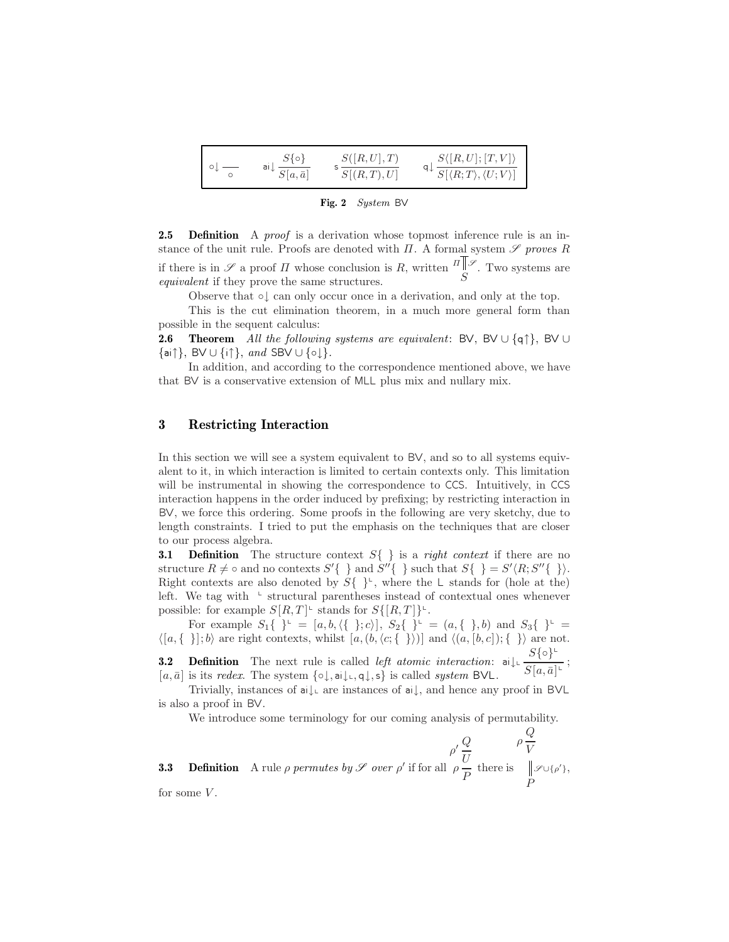<span id="page-6-0"></span>

| $S\{\circ\}$                       | S([R,U],T) | $S\langle [R,U];[T,V]\rangle$                                                     |
|------------------------------------|------------|-----------------------------------------------------------------------------------|
| ai $\sqrt{\frac{1}{S[a,\bar{a}]}}$ | S[(R,T),U] | $\mathsf{q}\downarrow \frac{\overline{S[\langle R;T\rangle,\langle U;V\rangle]}}$ |

**Fig. 2** System BV

**2.5 Definition** A *proof* is a derivation whose topmost inference rule is an instance of the unit rule. Proofs are denoted with  $\Pi$ . A formal system  $\mathscr S$  proves R if there is in  $\mathscr S$  a proof  $\Pi$  whose conclusion is  $R$ , written  $\mathbb{Z}[\mathscr S]$ . Two systems are equivalent if they prove the same structures equivalent if they prove the same structures.

Observe that ◦↓ can only occur once in a derivation, and only at the top.

This is the cut elimination theorem, in a much more general form than possible in the sequent calculus:

**2.6 Theorem** All the following systems are equivalent: BV, BV ∪ {q↑}, BV ∪  $\{\textsf{ai}\,\uparrow\}, \textsf{BV}\cup\{\textsf{i}\,\uparrow\}, \text{ and } \textsf{SBV}\cup\{\circ\downarrow\}.$ 

In addition, and according to the correspondence mentioned above, we have that BV is a conservative extension of MLL plus mix and nullary mix.

# **3 Restricting Interaction**

In this section we will see a system equivalent to BV , and so to all systems equivalent to it, in which interaction is limited to certain contexts only. This limitation will be instrumental in showing the correspondence to CCS. Intuitively, in CCS interaction happens in the order induced by prefixing; by restricting interaction in BV , we force this ordering. Some proofs in the following are very sketchy, due to length constraints. I tried to put the emphasis on the techniques that are closer to our process algebra.

**3.1 Definition** The structure context  $S\{\}\$ is a *right context* if there are no structure  $R \neq \infty$  and no contexts  $S' \{ \}$  and  $S'' \{ \}$  such that  $S \{ \} = S' \langle R; S'' \{ \} \rangle$ . Right contexts are also denoted by  $S\{\}^{\perp}$ , where the L stands for (hole at the) left. We tag with  $\perp$  structural parentheses instead of contextual ones whenever possible: for example  $S[R,T]$ <sup> $\iota$ </sup> stands for  $S\{[R,T]\}$ <sup> $\iota$ </sup>.

For example  $S_1\{\ \}^{\mathsf{L}} = [a, b, \langle \{\ \}; c \rangle], S_2\{\ \}^{\mathsf{L}} = (a, \{\ \}, b)$  and  $S_3\{\ \}^{\mathsf{L}} =$  $\langle [a, \{\}] ; b \rangle$  are right contexts, whilst  $[a, (b, \langle c; \{\}] \rangle)]$  and  $\langle (a, [b, c]) ; \{\] \rangle$  are not.

**3.2 Definition** The next rule is called *left atomic interaction*:  $\mathbf{a} \downarrow \downarrow \frac{S\{\circ\}^{\perp}}{S[a,\bar{a}]^{\perp}}$ ;  $[a, \bar{a}]$  is its *redex*. The system  $\{\circ \downarrow, \mathsf{a} | \downarrow, \mathsf{q} \downarrow, \mathsf{s} \}$  is called *system* BVL.

Trivially, instances of  $\alpha \downarrow$  are instances of  $\alpha \downarrow$ , and hence any proof in BVL is also a proof in BV.

We introduce some terminology for our coming analysis of permutability.

**3.3 Definition** A rule  $\rho$  permutes by  $\mathscr S$  over  $\rho'$  if for all  $\rho' \frac{Q}{U}$ <br> $\rho \frac{Q}{P}$  there is  $\rho \frac{Q}{V}$ P  $\mathscr{S} \cup {\{\rho'\}},$ 

for some  $V$ .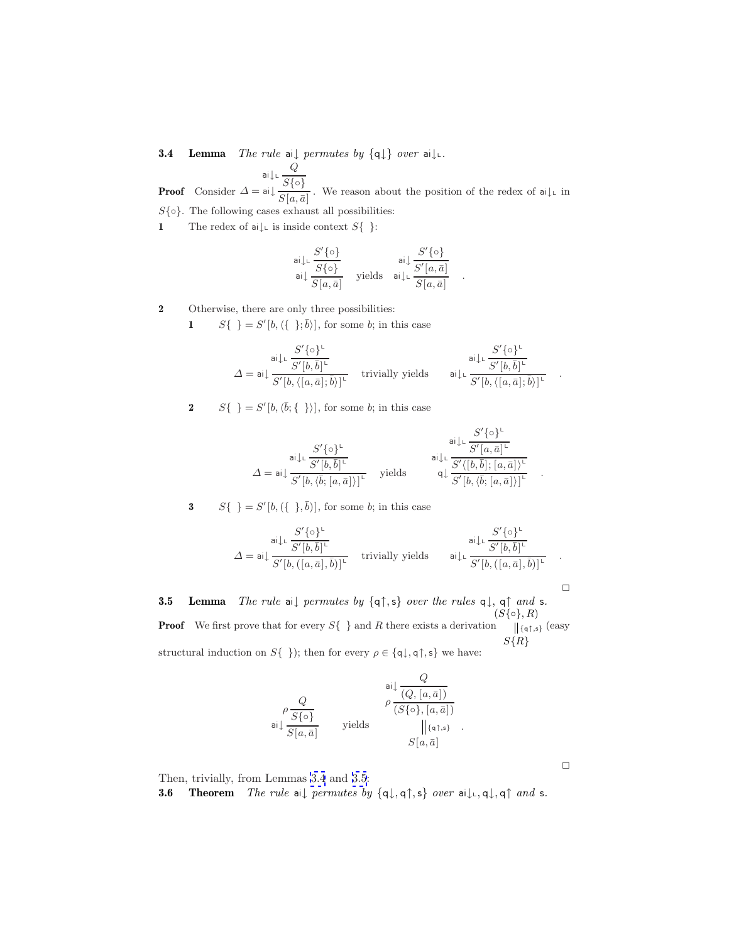<span id="page-7-0"></span>**3.4 Lemma** The rule ai $\downarrow$  permutes by  $\{q\}\}$  over ai $\downarrow$ .

**Proof** Consider ai  $\downarrow$ ∟ $\frac{Q}{\cap C}$  $\Delta = \mathsf{ai}\downarrow \frac{S\{\circ\}}{S[a,\bar{a}]}$ . We reason about the position of the redex of  $\mathsf{ai}\downarrow\llcorner$  in

 $S\{\circ\}$ . The following cases exhaust all possibilities:

**1** The redex of ai $\downarrow$  is inside context  $S\{\}$ :

S {◦} ai↓<sup>L</sup> <sup>S</sup>{◦} ai<sup>↓</sup> yields <sup>S</sup>[a, <sup>a</sup>¯] S {◦} ai<sup>↓</sup> <sup>S</sup> [a, <sup>a</sup>¯] ai↓<sup>L</sup> . <sup>S</sup>[a, <sup>a</sup>¯]

**2** Otherwise, there are only three possibilities:

**1**  $S\{\}\equiv S'[b,\langle\{\;\;\;\};\overline{b}\rangle]$ , for some b; in this case

S {◦}<sup>L</sup> ai↓<sup>L</sup> S [b, ¯b] L <sup>∆</sup> <sup>=</sup> ai<sup>↓</sup> trivially yields <sup>S</sup> [b, [a, a¯]; ¯b-] L S {◦}<sup>L</sup> ai↓<sup>L</sup> S [b, ¯b] L ai↓<sup>L</sup> . <sup>S</sup> [b, [a, a¯]; ¯b-L

**2**  $S\{\}\equiv S'[b,\langle \bar{b}; {\{\}} \rangle],$  for some b; in this case

$$
\varDelta = \mathsf{ai}\!\downarrow\!\!\!\downarrow\!\!\frac{S'\{\mathsf{o}\}^\mathsf{L}}{S'[b,\overline{b}]^\mathsf{L}} \qquad \qquad \mathsf{ yields} \qquad \begin{array}{c} \mathsf{ai}\!\downarrow\!\!\downarrow\!\frac{S'\{\mathsf{o}\}^\mathsf{L}}{S'[a,\bar{a}]^\mathsf{L}} \\ \mathsf{ai}\!\downarrow\!\!\downarrow\!\frac{S'\{\mathsf{o}\}^\mathsf{L}}{S'[b,\overline{b}];[a,\bar{a}])^\mathsf{L}} \\ \mathsf{q}\!\downarrow\!\frac{S'\{\mathsf{o}\}^\mathsf{L}}{S'[b,\overline{b}];[a,\bar{a}])^\mathsf{L}} \end{array} \quad .
$$

**3**  $S\{\} = S'[b, (\{\}, \bar{b})]$ , for some *b*; in this case

$$
\varDelta = \mathsf{ai}\!\downarrow\!\!\!\!\downarrow \frac{S'\{\mathsf{o}\}^\mathsf{L}}{S'[b,([a,\bar{a}],\bar{b})]^\mathsf{L}} \quad\text{trivially yields}\qquad \mathsf{ai}\!\downarrow\!\!\!\!\downarrow \frac{S'\{\mathsf{o}\}^\mathsf{L}}{S'[b,([a,\bar{a}],\bar{b})]^\mathsf{L}} \quad.
$$

 $\Box$ 

**3.5 Lemma** The rule ai↓ permutes by {q↑,s} over the rules q↓, q↑ and s. **Proof** We first prove that for every  $S\{\}$  and R there exists a derivation  $(S\{\circ\}, R)$  $S\{R\}$  $\parallel$ {q↑,s} (easy structural induction on  $S\{\}\;$ ; then for every  $\rho \in \{\mathsf{q}\downarrow, \mathsf{q}\uparrow, \mathsf{s}\}\;$  we have:

$$
\rho \frac{Q}{S\{o\}} \qquad \rho \frac{\frac{a_1 \downarrow \frac{Q}{(Q,[a,\bar{a}])}}{\frac{S\{o\}}{S[a,\bar{a}]}}}{\text{ yields }} \rho \frac{\rho \frac{Q}{(S\{o\},[a,\bar{a}])}}{\left[\left[\frac{\{a\uparrow,s\}}{\{a,\bar{a}\}}\right]\right]}.
$$

Then, trivially, from Lemmas 3.4 and 3.5:

**3.6** Theorem The rule ai↓ permutes by  $\{q \downarrow, q \uparrow, s\}$  over ai $\downarrow$ <sub>k</sub>,  $q \uparrow$ , and s.

 $\Box$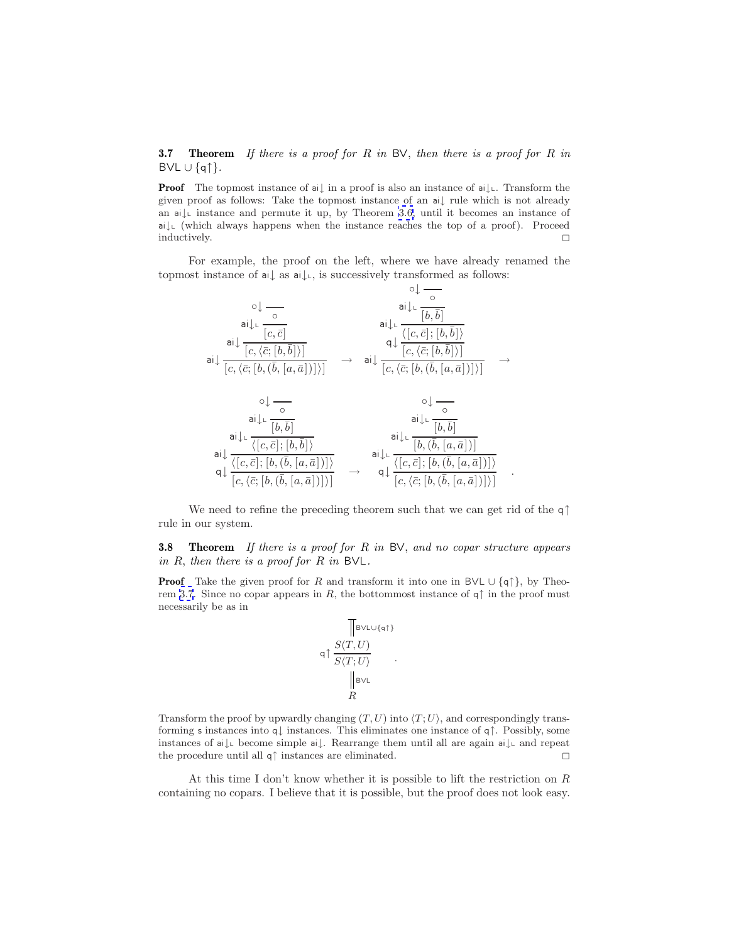<span id="page-8-0"></span>**3.7** Theorem If there is a proof for R in BV, then there is a proof for R in  $BVL \cup \{q\}$ .

**Proof** The topmost instance of ai↓ in a proof is also an instance of ai↓∟. Transform the given proof as follows: Take the topmost instance of an ai↓ rule which is not already an  $a \downarrow$  instance and permute it up, by Theorem [3.6,](#page-7-0) until it becomes an instance of ai↓<sup>L</sup> (which always happens when the instance reaches the top of a proof). Proceed inductively.

For example, the proof on the left, where we have already renamed the topmost instance of ai↓ as ai↓L, is successively transformed as follows:



We need to refine the preceding theorem such that we can get rid of the q↑ rule in our system.

**3.8 Theorem** If there is a proof for R in BV, and no copar structure appears in  $R$ , then there is a proof for  $R$  in  $B\vee L$ .

**Proof** Take the given proof for R and transform it into one in BVL  $\cup$  {q↑}, by Theorem 3.7. Since no copar appears in R, the bottommost instance of  $\eta \uparrow$  in the proof must necessarily be as in

$$
\mathsf{q} \uparrow \frac{\mathbb{S}(T,U)}{\mathbb{S}\langle T;U\rangle}
$$
\n
$$
\mathsf{q} \uparrow \frac{\mathbb{S}(T,U)}{\mathbb{S}\langle T;U\rangle}
$$
\n
$$
\mathsf{P} \downarrow \mathsf{B} \vee \mathsf{L}
$$

.

Transform the proof by upwardly changing  $(T, U)$  into  $\langle T, U \rangle$ , and correspondingly transforming s instances into q↓ instances. This eliminates one instance of q↑. Possibly, some instances of ai↓<sup>L</sup> become simple ai↓. Rearrange them until all are again ai↓<sup>L</sup> and repeat the procedure until all  $q\uparrow$  instances are eliminated.

At this time I don't know whether it is possible to lift the restriction on  $R$ containing no copars. I believe that it is possible, but the proof does not look easy.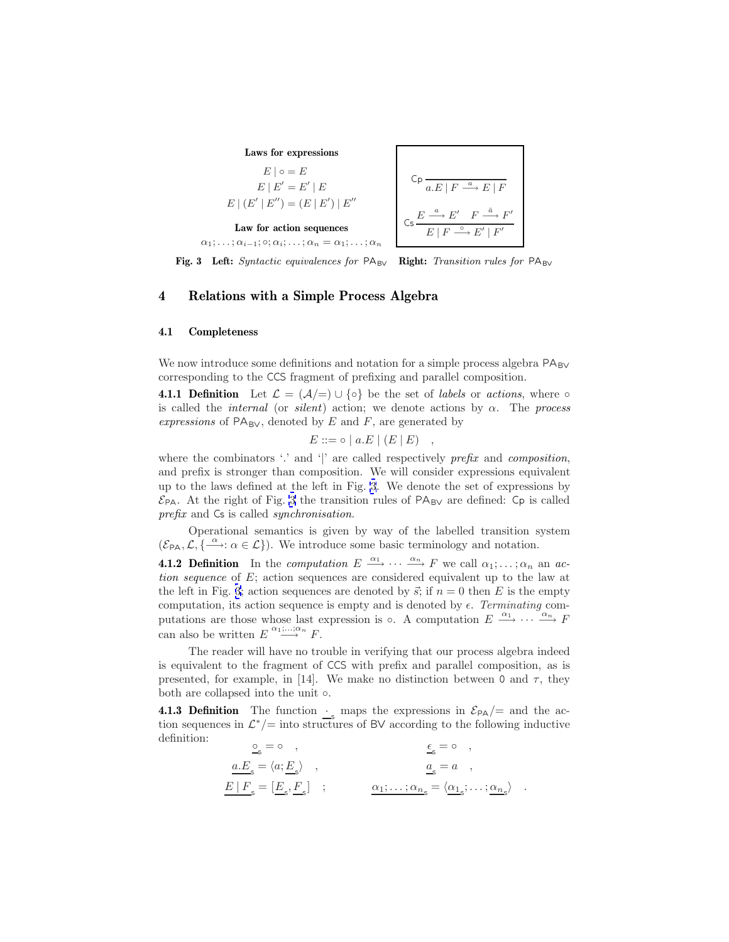

$$
Cp \n\overline{a.E \mid F \stackrel{a}{\longrightarrow} E \mid F}
$$
\n
$$
Cs \n\overline{E \stackrel{a}{\longrightarrow} E' \quad F \stackrel{\overline{a}}{\longrightarrow} F'}
$$
\n
$$
E \mid F \stackrel{\circ}{\longrightarrow} E' \mid F'
$$

**Fig. 3** Left: Syntactic equivalences for PA<sub>BV</sub> Right: Transition rules for PA<sub>BV</sub>

# **4 Relations with a Simple Process Algebra**

#### **4.1 Completeness**

We now introduce some definitions and notation for a simple process algebra  $\mathsf{PA}_{\mathsf{BV}}$ corresponding to the CCS fragment of prefixing and parallel composition.

**4.1.1 Definition** Let  $\mathcal{L} = (\mathcal{A}/\mathcal{A}) \cup \{ \circ \}$  be the set of *labels* or *actions*, where  $\circ$ is called the *internal* (or *silent*) action; we denote actions by  $\alpha$ . The process expressions of  $PA_{BV}$ , denoted by E and F, are generated by

$$
E ::= \circ | a.E | (E | E) ,
$$

where the combinators  $\therefore$  and  $\uparrow$  are called respectively prefix and composition, and prefix is stronger than composition. We will consider expressions equivalent up to the laws defined at the left in Fig. 3. We denote the set of expressions by  $\mathcal{E}_{\text{PA}}$ . At the right of Fig. 3 the transition rules of  $\text{PA}_{\text{BV}}$  are defined: Cp is called prefix and  $\textsf{Cs}$  is called *synchronisation*.

Operational semantics is given by way of the labelled transition system  $(\mathcal{E}_{\mathsf{PA}}, \mathcal{L}, \{\stackrel{\alpha}{\longrightarrow}:\alpha \in \mathcal{L}\})$ . We introduce some basic terminology and notation.

**4.1.2 Definition** In the *computation*  $E \xrightarrow{\alpha_1} \cdots \xrightarrow{\alpha_n} F$  we call  $\alpha_1; \ldots; \alpha_n$  an action sequence of E; action sequences are considered equivalent up to the law at the left in Fig. 3; action sequences are denoted by  $\vec{s}$ ; if  $n = 0$  then E is the empty computation, its action sequence is empty and is denoted by  $\epsilon$ . Terminating computations are those whose last expression is  $\circ$ . A computation  $E \stackrel{\alpha_1}{\longrightarrow} \cdots \stackrel{\alpha_n}{\longrightarrow} F$ can also be written  $E \stackrel{\alpha_1,\ldots,\alpha_n}{\longrightarrow} F$ .

The reader will have no trouble in verifying that our process algebra indeed is equivalent to the fragment of CCS with prefix and parallel composition, as is presented, for example, in [14]. We make no distinction between 0 and  $\tau$ , they both are collapsed into the unit ◦.

**4.1.3 Definition** The function  $\cdot$  maps the expressions in  $\mathcal{E}_{PA}/=$  and the action sequences in  $\mathcal{L}^*/=$  into structures of BV according to the following inductive  $\underbrace{\mathsf{e}}_{\mathsf{s}} = \mathsf{o} \quad , \qquad \qquad \underbrace{\mathsf{e}}_{\mathsf{s}} = \mathsf{o} \quad ,$ 

$$
\begin{aligned}\n\underline{\mathbf{a}}_{\mathbf{s}} &= \mathbf{0} \quad , \\
\underline{a} \cdot \underline{E}_{\mathbf{s}} &= \langle a; \underline{E}_{\mathbf{s}} \rangle \quad , \\
\underline{E} \mid F_{\mathbf{s}} &= \left[ \underline{E}_{\mathbf{s}}^{\mathbf{0}} \cdot \underline{E}_{\mathbf{s}} \right] \quad ; \\
\underline{E}_{\mathbf{s}} &= \langle a_1, \dots, a_n \rangle = \langle a_1, \dots, a_n \rangle \quad .\n\end{aligned}
$$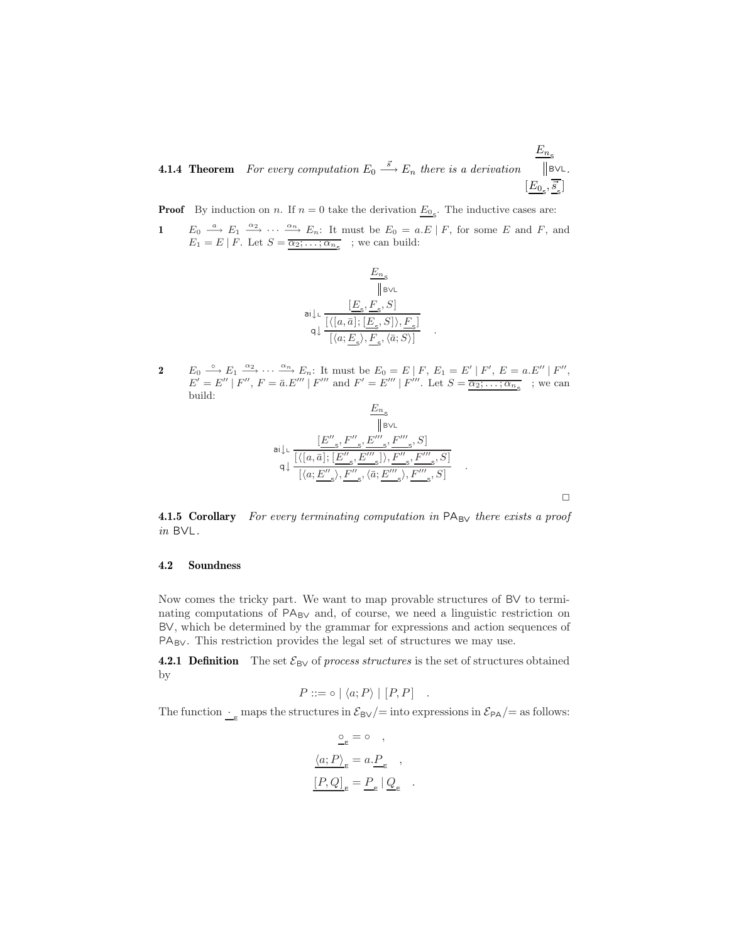**4.1.4 Theorem** For every computation  $E_0 \stackrel{\vec{s}}{\longrightarrow} E_n$  there is a derivation  $E_{n_{\mathsf{S}}}$  $[\underline{E_0}, \vec{s}_{\mathrm{s}}]$ ] BVL.

**Proof** By induction on *n*. If  $n = 0$  take the derivation  $\underline{E_0}_s$ . The inductive cases are:

**1**  $E_0 \stackrel{a}{\longrightarrow} E_1 \stackrel{\alpha_2}{\longrightarrow} \cdots \stackrel{\alpha_n}{\longrightarrow} E_n$ : It must be  $E_0 = a.E \mid F$ , for some E and F, and  $E_1 = E \mid F$ . Let  $S = \overline{\alpha_2; \dots; \alpha_{n_s}}$ ; we can build:



**2**  $E_0 \xrightarrow{\circ} E_1 \xrightarrow{\alpha_2} \cdots \xrightarrow{\alpha_n} E_n$ : It must be  $E_0 = E \mid F, E_1 = E' \mid F', E = a.E'' \mid F'',$  $E' = E'' | F'', F = \bar{a}E''' | F'''$  and  $F' = E''' | F'''$ . Let  $S = \overline{\alpha_2; \dots; \alpha_{n_S}}$  ; we can build:

$$
\begin{array}{c}\n\underline{E_n}_s \\
\hline\n\parallel_{\text{BVL}} \\
\text{ail} \downarrow \mathstrut \mathstrut_{\text{L}} \frac{[E'',S',E''',S']}{[(a,\bar{a}];[E'',S,E''',S'],F''',S']} \\
\text{ail} \frac{1}{[\langle a; \underline{E''}_s \rangle, \underline{F''}_s, \langle \bar{a}; \underline{E'''}_s \rangle, \underline{F''}_s, S]} \\
\hline\n\end{array}.
$$

 $\Box$ 

**4.1.5 Corollary** For every terminating computation in PA<sub>BV</sub> there exists a proof  $in$  BVL.

#### **4.2 Soundness**

Now comes the tricky part. We want to map provable structures of BV to terminating computations of  $PA_{BV}$  and, of course, we need a linguistic restriction on BV, which be determined by the grammar for expressions and action sequences of PA<sub>BV</sub>. This restriction provides the legal set of structures we may use.

**4.2.1 Definition** The set  $\mathcal{E}_{\text{BV}}$  of process structures is the set of structures obtained by

$$
P ::= \circ | \langle a; P \rangle | [P, P] .
$$

The function  $\cdot$  e maps the structures in  $\mathcal{E}_{\text{BV}}/=\text{into expressions in }\mathcal{E}_{\text{PA}}/=\text{as follows:}$ 

$$
\begin{aligned} \underline{\underline{\mathrm{o}}}_{\mathrm{\underline{\mathrm{e}}}} &= \mathrm{o} \quad , \\ \underline{\langle a; P \rangle}_{\mathrm{\underline{\mathrm{e}}}} &= a.\underline{P}_{\mathrm{\underline{\mathrm{e}}}} \quad , \\ \underline{[P,Q]}_{\mathrm{\underline{e}}} &= \underline{P}_{\mathrm{\underline{\mathrm{e}}}} \mid \underline{Q}_{\mathrm{\underline{\mathrm{e}}}} \quad . \end{aligned}
$$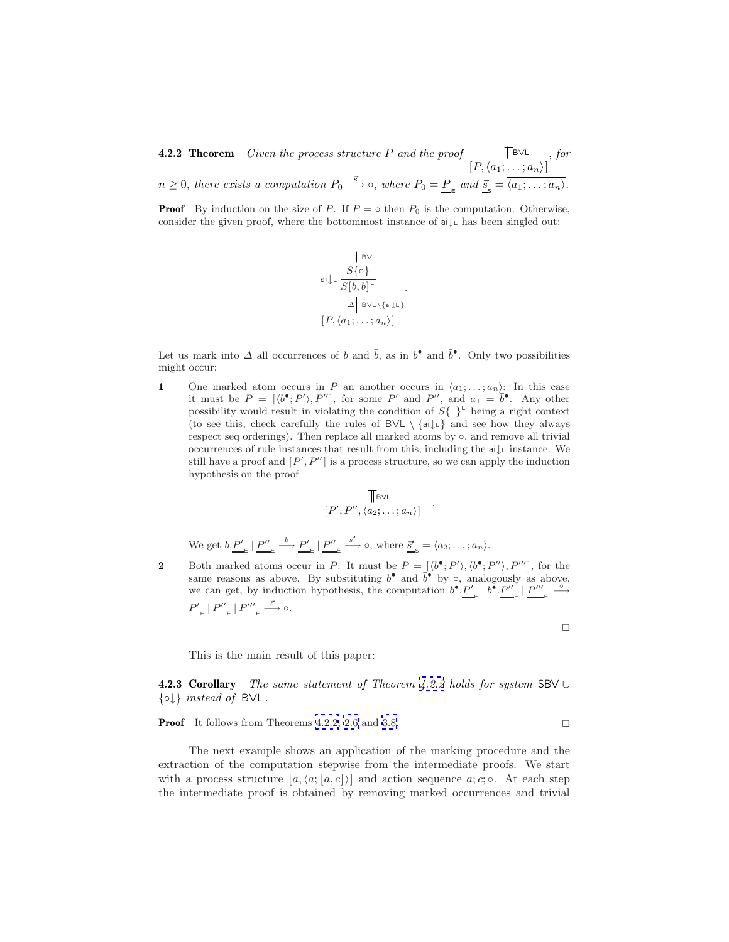**4.2.2 Theorem** Given the process structure P and the proof  $[P, \langle a_1; \ldots; a_n \rangle]$  $\mathbb{T}$ BVL, for  $n \geq 0$ , there exists a computation  $P_0 \stackrel{\vec{s}}{\longrightarrow} \infty$ , where  $P_0 = \underline{P}_{\epsilon}$  and  $\underline{\vec{s}}_{\leq} = \overline{\langle a_1; \ldots; a_n \rangle}$ .

**Proof** By induction on the size of P. If  $P = \circ$  then  $P_0$  is the computation. Otherwise, consider the given proof, where the bottommost instance of  $a \downarrow$  has been singled out:

$$
\begin{array}{c}\n\text{[BVL] }\\ \n\text{ai}\!\!\downarrow\!\!\text{L}\, \frac{S\{\text{o}\}}{S[b,\bar{b}]^{\text{L}} }\\ \n\vartriangle \big[\!\!\!\!\!\!\!\begin{array}{c} \text{BVL}\backslash\{\text{ai}\!\!\downarrow\!\!\downarrow\}\!\\ \text{[P,}\langle a_1;\ldots;a_n\rangle\!\!\!\end{array}\!\!\!\big]\n\end{array}
$$

.

Let us mark into  $\Delta$  all occurrences of b and  $\bar{b}$ , as in b<sup>•</sup> and  $\bar{b}^{\bullet}$ . Only two possibilities might occur:

**1** One marked atom occurs in P an another occurs in  $\langle a_1; \ldots; a_n \rangle$ : In this case it must be  $P = [\langle b^{\bullet}; P' \rangle, P'']$ , for some P' and  $P''$ , and  $a_1 = \overline{b}^{\bullet}$ . Any other possibility would result in violating the condition of  $S\{\;\}^{\mathsf{L}}$  being a right context (to see this, check carefully the rules of  $BVL \setminus \{ai\downarrow c\}$  and see how they always respect seq orderings). Then replace all marked atoms by ◦, and remove all trivial occurrences of rule instances that result from this, including the  $a \downarrow$  instance. We still have a proof and  $[P', P'']$  is a process structure, so we can apply the induction hypothesis on the proof

$$
\mathbb{T}_{\mathsf{BVL}}\left[\mathbb{P}', P'', \langle a_2; \ldots; a_n \rangle\right]
$$

.

 $\Box$ 

We get  $b.\underline{P'}_{\varepsilon} | \underline{P''}_{\varepsilon} \stackrel{b}{\longrightarrow} \underline{P'}_{\varepsilon} | \underline{P''}_{\varepsilon}$  $\stackrel{\vec{s}'}{\longrightarrow}$   $\circ$ , where  $\stackrel{\vec{s}'}{\longrightarrow} \stackrel{\cdot}{\longrightarrow} \overline{\langle a_2; \ldots; a_n \rangle}$ .

**2** Both marked atoms occur in P: It must be  $P = [\langle b^{\bullet}; P' \rangle, \langle \bar{b}^{\bullet}; P'' \rangle, P''']$ , for the same reasons as above. By substituting  $b^{\bullet}$  and  $\overline{b}^{\bullet}$  by  $\circ$ , analogously as above, we can get, by induction hypothesis, the computation  $b^{\bullet} \cdot P'_{\epsilon} \mid \overline{b^{\bullet}} \cdot P''_{\epsilon} \mid P'''_{\epsilon} \stackrel{\circ}{\longrightarrow}$  $P'_{\varepsilon} | P''_{\varepsilon} | P'''_{\varepsilon} \xrightarrow{\vec{s}} \circ.$ 

This is the main result of this paper:

**4.2.3 Corollary** The same statement of Theorem 4.2.2 holds for system SBV ∪  $\{\circ\}\$  instead of BVL.

**Proof** It follows from Theorems 4.2.2, [2.6](#page-6-0) and [3.8.](#page-8-0) □

The next example shows an application of the marking procedure and the extraction of the computation stepwise from the intermediate proofs. We start with a process structure  $[a, \langle a, [\bar{a}, c] \rangle]$  and action sequence  $a; c; \circ$ . At each step the intermediate proof is obtained by removing marked occurrences and trivial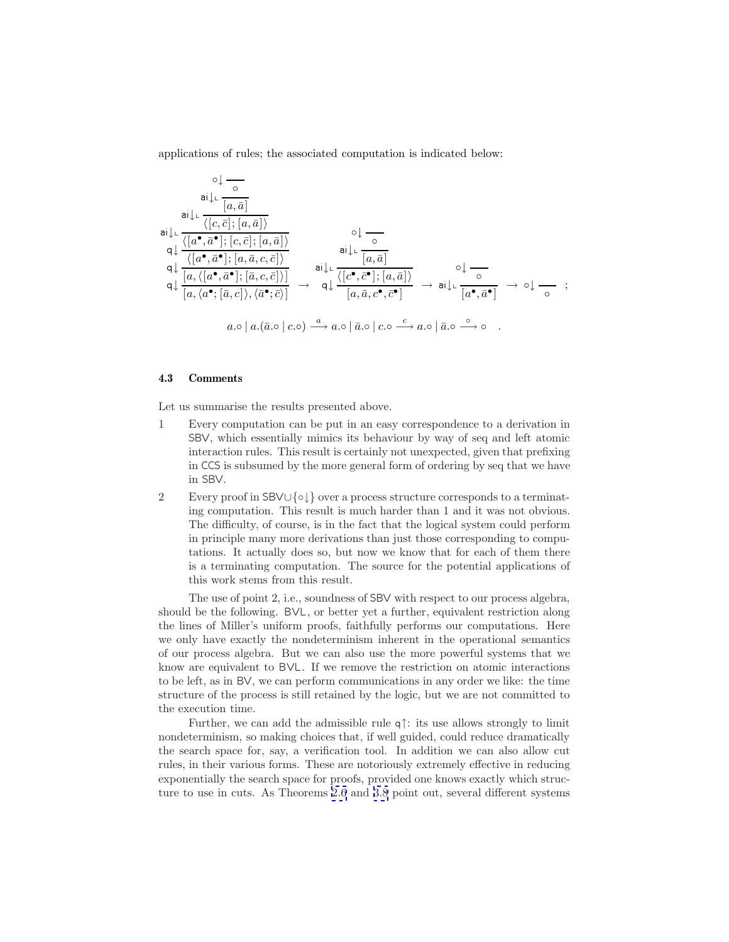applications of rules; the associated computation is indicated below:

$$
\circ \downarrow \frac{\circ}{\circ}
$$
\n
$$
\mathsf{ai} \downarrow \downarrow \frac{\overline{\langle [a, \bar{a}] \rangle}}{\langle [a^{\bullet}, \bar{a}^{\bullet}] ; [a, \bar{a}] \rangle}
$$
\n
$$
\mathsf{ai} \downarrow \downarrow \frac{\overline{\langle [a^{\bullet}, \bar{a}^{\bullet}] ; [a, \bar{a}] \rangle}}{\langle [a^{\bullet}, \bar{a}^{\bullet}] ; [a, \bar{a}, c, \bar{c}] \rangle}
$$
\n
$$
\mathsf{aj} \downarrow \frac{\overline{\langle [a^{\bullet}, \bar{a}^{\bullet}] ; [a, \bar{a}, c, \bar{c}] \rangle}}{\langle [a, \langle [a^{\bullet}, \bar{a}^{\bullet}] ; [\bar{a}, c, \bar{c}] \rangle] \rangle}
$$
\n
$$
\mathsf{ai} \downarrow \downarrow \frac{\overline{\langle [a, \bar{a}] \rangle}}{[a, \bar{a}] \rangle}
$$
\n
$$
\mathsf{ai} \downarrow \downarrow \frac{\overline{\langle [a^{\bullet}, \bar{c}^{\bullet}] ; [a, \bar{a}] \rangle}}{\langle [a, \bar{a}, c^{\bullet}, \bar{c}^{\bullet}] \rangle} \rightarrow \mathsf{ai} \downarrow \downarrow \frac{\overline{\langle [c^{\bullet}, \bar{c}^{\bullet}] ; [a, \bar{a}] \rangle}}{[a, \bar{a}, c^{\bullet}, \bar{c}^{\bullet}]} \rightarrow \mathsf{ai} \downarrow \downarrow \frac{\overline{\langle [a^{\bullet}, \bar{a}^{\bullet}] \rangle}}{[a^{\bullet}, \bar{a}^{\bullet}]} \rightarrow \circ \downarrow \frac{\overline{\langle [a^{\bullet}, \bar{a}^{\bullet}] \rangle}}{[a^{\bullet}, \bar{a}^{\bullet}]} \rightarrow \circ \downarrow \frac{\overline{\langle [a^{\bullet}, \bar{a}^{\bullet}] \rangle}}{[a^{\bullet}, \bar{a}^{\bullet}]} \rightarrow \circ \downarrow \frac{\overline{\langle [a^{\bullet}, \bar{a}^{\bullet}] \rangle}}{[a^{\bullet}, \bar{a}^{\bullet}]} \rightarrow \circ \downarrow \frac{\overline{\langle [a^{\bullet}, \bar{a}^{\bullet}] \rangle}}{[a^{\bullet}, \bar{a}^{\bullet}] \rightarrow \circ \downarrow \frac{\overline{\langle [a^{\bullet}, \bar{a}^{\bullet}] \rangle}}{[a^{\
$$

## **4.3 Comments**

Let us summarise the results presented above.

- 1 Every computation can be put in an easy correspondence to a derivation in SBV, which essentially mimics its behaviour by way of seq and left atomic interaction rules. This result is certainly not unexpected, given that prefixing in CCS is subsumed by the more general form of ordering by seq that we have in SBV.
- 2 Every proof in SBV ∪{◦↓} over a process structure corresponds to a terminating computation. This result is much harder than 1 and it was not obvious. The difficulty, of course, is in the fact that the logical system could perform in principle many more derivations than just those corresponding to computations. It actually does so, but now we know that for each of them there is a terminating computation. The source for the potential applications of this work stems from this result.

The use of point 2, i.e., soundness of SBV with respect to our process algebra, should be the following. BVL, or better yet a further, equivalent restriction along the lines of Miller's uniform proofs, faithfully performs our computations. Here we only have exactly the nondeterminism inherent in the operational semantics of our process algebra. But we can also use the more powerful systems that we know are equivalent to BVL. If we remove the restriction on atomic interactions to be left, as in BV , we can perform communications in any order we like: the time structure of the process is still retained by the logic, but we are not committed to the execution time.

Further, we can add the admissible rule q↑: its use allows strongly to limit nondeterminism, so making choices that, if well guided, could reduce dramatically the search space for, say, a verification tool. In addition we can also allow cut rules, in their various forms. These are notoriously extremely effective in reducing exponentially the search space for proofs, provided one knows exactly which structure to use in cuts. As Theorems [2.6](#page-6-0) and [3.8](#page-8-0) point out, several different systems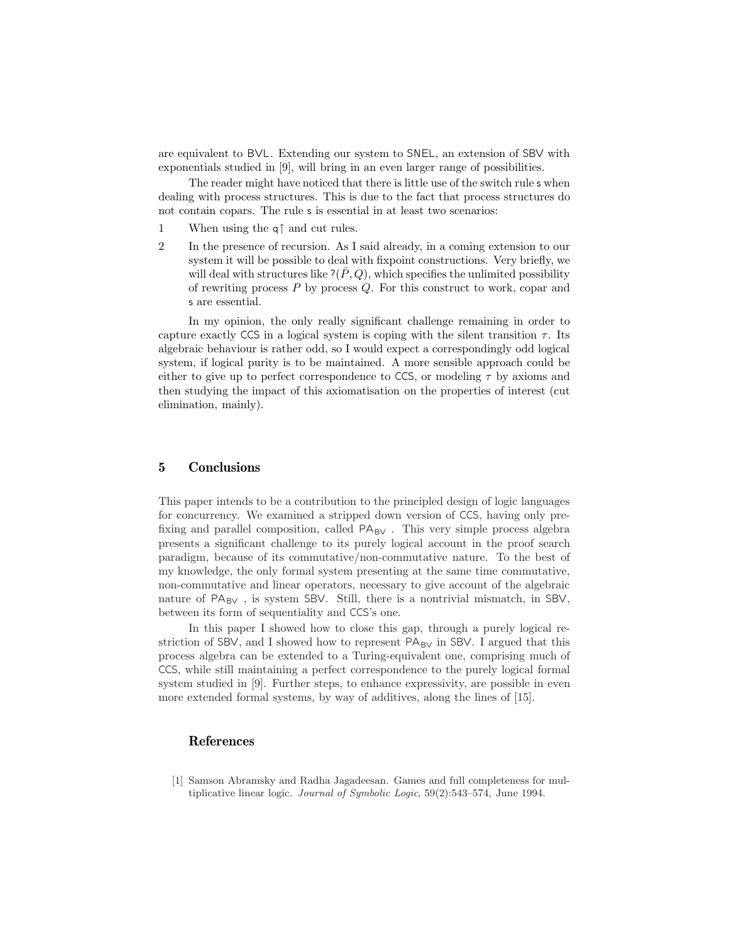are equivalent to BVL. Extending our system to SNEL, an extension of SBV with exponentials studied in [9], will bring in an even larger range of possibilities.

The reader might have noticed that there is little use of the switch rule s when dealing with process structures. This is due to the fact that process structures do not contain copars. The rule s is essential in at least two scenarios:

- 1 When using the q↑ and cut rules.
- 2 In the presence of recursion. As I said already, in a coming extension to our system it will be possible to deal with fixpoint constructions. Very briefly, we will deal with structures like  $?(\bar{P},Q)$ , which specifies the unlimited possibility of rewriting process  $P$  by process  $Q$ . For this construct to work, copar and s are essential.

In my opinion, the only really significant challenge remaining in order to capture exactly CCS in a logical system is coping with the silent transition  $\tau$ . Its algebraic behaviour is rather odd, so I would expect a correspondingly odd logical system, if logical purity is to be maintained. A more sensible approach could be either to give up to perfect correspondence to CCS, or modeling  $\tau$  by axioms and then studying the impact of this axiomatisation on the properties of interest (cut elimination, mainly).

## **5 Conclusions**

This paper intends to be a contribution to the principled design of logic languages for concurrency. We examined a stripped down version of CCS, having only prefixing and parallel composition, called  $PA_{BV}$ . This very simple process algebra presents a significant challenge to its purely logical account in the proof search paradigm, because of its commutative/non-commutative nature. To the best of my knowledge, the only formal system presenting at the same time commutative, non-commutative and linear operators, necessary to give account of the algebraic nature of  $PA_{BV}$ , is system SBV. Still, there is a nontrivial mismatch, in SBV, between its form of sequentiality and CCS's one.

In this paper I showed how to close this gap, through a purely logical restriction of SBV, and I showed how to represent  $PA_{BV}$  in SBV. I argued that this process algebra can be extended to a Turing-equivalent one, comprising much of CCS, while still maintaining a perfect correspondence to the purely logical formal system studied in [9]. Further steps, to enhance expressivity, are possible in even more extended formal systems, by way of additives, along the lines of [15].

## **References**

[1] Samson Abramsky and Radha Jagadeesan. Games and full completeness for multiplicative linear logic. Journal of Symbolic Logic, 59(2):543–574, June 1994.